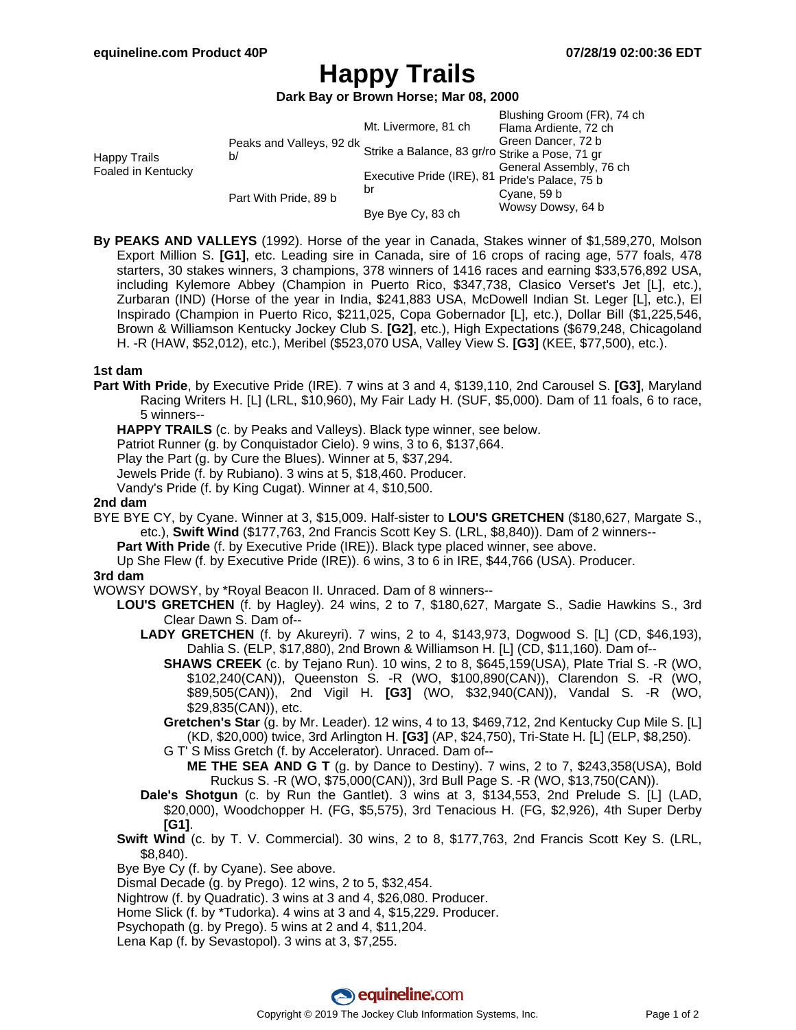# **Happy Trails**

**Dark Bay or Brown Horse; Mar 08, 2000**

|                                    |                                                                             | Mt. Livermore, 81 ch                                 | Blushing Groom (FR), 74 ch<br>Flama Ardiente, 72 ch |
|------------------------------------|-----------------------------------------------------------------------------|------------------------------------------------------|-----------------------------------------------------|
| Happy Trails<br>Foaled in Kentucky | Peaks and Valleys, 92 dk<br>Strike a Balance, 83 gr/ro Strike a Pose, 71 gr |                                                      |                                                     |
|                                    |                                                                             |                                                      |                                                     |
|                                    |                                                                             | Executive Pride (IRE), 81 Pride's Palace, 75 b<br>br | General Assembly, 76 ch                             |
|                                    | Part With Pride, 89 b                                                       |                                                      |                                                     |
|                                    |                                                                             |                                                      | Cyane, 59 b                                         |
|                                    |                                                                             | Bye Bye Cy, 83 ch                                    | Wowsy Dowsy, 64 b                                   |

**By PEAKS AND VALLEYS** (1992). Horse of the year in Canada, Stakes winner of \$1,589,270, Molson Export Million S. **[G1]**, etc. Leading sire in Canada, sire of 16 crops of racing age, 577 foals, 478 starters, 30 stakes winners, 3 champions, 378 winners of 1416 races and earning \$33,576,892 USA, including Kylemore Abbey (Champion in Puerto Rico, \$347,738, Clasico Verset's Jet [L], etc.), Zurbaran (IND) (Horse of the year in India, \$241,883 USA, McDowell Indian St. Leger [L], etc.), El Inspirado (Champion in Puerto Rico, \$211,025, Copa Gobernador [L], etc.), Dollar Bill (\$1,225,546, Brown & Williamson Kentucky Jockey Club S. **[G2]**, etc.), High Expectations (\$679,248, Chicagoland H. -R (HAW, \$52,012), etc.), Meribel (\$523,070 USA, Valley View S. **[G3]** (KEE, \$77,500), etc.).

### **1st dam**

**Part With Pride**, by Executive Pride (IRE). 7 wins at 3 and 4, \$139,110, 2nd Carousel S. **[G3]**, Maryland Racing Writers H. [L] (LRL, \$10,960), My Fair Lady H. (SUF, \$5,000). Dam of 11 foals, 6 to race, 5 winners--

**HAPPY TRAILS** (c. by Peaks and Valleys). Black type winner, see below.

Patriot Runner (g. by Conquistador Cielo). 9 wins, 3 to 6, \$137,664.

Play the Part (g. by Cure the Blues). Winner at 5, \$37,294.

Jewels Pride (f. by Rubiano). 3 wins at 5, \$18,460. Producer.

Vandy's Pride (f. by King Cugat). Winner at 4, \$10,500.

### **2nd dam**

BYE BYE CY, by Cyane. Winner at 3, \$15,009. Half-sister to **LOU'S GRETCHEN** (\$180,627, Margate S., etc.), **Swift Wind** (\$177,763, 2nd Francis Scott Key S. (LRL, \$8,840)). Dam of 2 winners--

**Part With Pride** (f. by Executive Pride (IRE)). Black type placed winner, see above.

Up She Flew (f. by Executive Pride (IRE)). 6 wins, 3 to 6 in IRE, \$44,766 (USA). Producer.

#### **3rd dam**

- WOWSY DOWSY, by \*Royal Beacon II. Unraced. Dam of 8 winners--
	- **LOU'S GRETCHEN** (f. by Hagley). 24 wins, 2 to 7, \$180,627, Margate S., Sadie Hawkins S., 3rd Clear Dawn S. Dam of--
		- **LADY GRETCHEN** (f. by Akureyri). 7 wins, 2 to 4, \$143,973, Dogwood S. [L] (CD, \$46,193), Dahlia S. (ELP, \$17,880), 2nd Brown & Williamson H. [L] (CD, \$11,160). Dam of--
			- **SHAWS CREEK** (c. by Tejano Run). 10 wins, 2 to 8, \$645,159(USA), Plate Trial S. -R (WO, \$102,240(CAN)), Queenston S. -R (WO, \$100,890(CAN)), Clarendon S. -R (WO, \$89,505(CAN)), 2nd Vigil H. **[G3]** (WO, \$32,940(CAN)), Vandal S. -R (WO, \$29,835(CAN)), etc.
			- **Gretchen's Star** (g. by Mr. Leader). 12 wins, 4 to 13, \$469,712, 2nd Kentucky Cup Mile S. [L] (KD, \$20,000) twice, 3rd Arlington H. **[G3]** (AP, \$24,750), Tri-State H. [L] (ELP, \$8,250).
			- G T' S Miss Gretch (f. by Accelerator). Unraced. Dam of--
				- **ME THE SEA AND G T** (g. by Dance to Destiny). 7 wins, 2 to 7, \$243,358(USA), Bold Ruckus S. -R (WO, \$75,000(CAN)), 3rd Bull Page S. -R (WO, \$13,750(CAN)).
		- **Dale's Shotgun** (c. by Run the Gantlet). 3 wins at 3, \$134,553, 2nd Prelude S. [L] (LAD, \$20,000), Woodchopper H. (FG, \$5,575), 3rd Tenacious H. (FG, \$2,926), 4th Super Derby **[G1]**.
	- **Swift Wind** (c. by T. V. Commercial). 30 wins, 2 to 8, \$177,763, 2nd Francis Scott Key S. (LRL, \$8,840).
	- Bye Bye Cy (f. by Cyane). See above.
	- Dismal Decade (g. by Prego). 12 wins, 2 to 5, \$32,454.
	- Nightrow (f. by Quadratic). 3 wins at 3 and 4, \$26,080. Producer.
	- Home Slick (f. by \*Tudorka). 4 wins at 3 and 4, \$15,229. Producer.
	- Psychopath (g. by Prego). 5 wins at 2 and 4, \$11,204.
	- Lena Kap (f. by Sevastopol). 3 wins at 3, \$7,255.